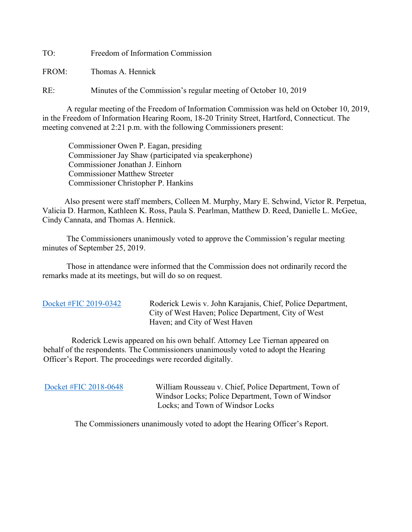TO: Freedom of Information Commission

FROM: Thomas A. Hennick

RE: Minutes of the Commission's regular meeting of October 10, 2019

A regular meeting of the Freedom of Information Commission was held on October 10, 2019, in the Freedom of Information Hearing Room, 18-20 Trinity Street, Hartford, Connecticut. The meeting convened at 2:21 p.m. with the following Commissioners present:

 Commissioner Owen P. Eagan, presiding Commissioner Jay Shaw (participated via speakerphone) Commissioner Jonathan J. Einhorn Commissioner Matthew Streeter Commissioner Christopher P. Hankins

 Also present were staff members, Colleen M. Murphy, Mary E. Schwind, Victor R. Perpetua, Valicia D. Harmon, Kathleen K. Ross, Paula S. Pearlman, Matthew D. Reed, Danielle L. McGee, Cindy Cannata, and Thomas A. Hennick.

The Commissioners unanimously voted to approve the Commission's regular meeting minutes of September 25, 2019.

 Those in attendance were informed that the Commission does not ordinarily record the remarks made at its meetings, but will do so on request.

[Docket #FIC 2019-0342](https://portal.ct.gov/-/media/FOI/FinalDecisions/2019/Oct10/2019-0342.pdf?la=en) Roderick Lewis v. John Karajanis, Chief, Police Department, City of West Haven; Police Department, City of West Haven; and City of West Haven

 Roderick Lewis appeared on his own behalf. Attorney Lee Tiernan appeared on behalf of the respondents. The Commissioners unanimously voted to adopt the Hearing Officer's Report. The proceedings were recorded digitally.

 [Docket #FIC 2018-0648](https://portal.ct.gov/-/media/FOI/FinalDecisions/2019/Oct10/2018-0648.pdf?la=en) William Rousseau v. Chief, Police Department, Town of Windsor Locks; Police Department, Town of Windsor Locks; and Town of Windsor Locks

The Commissioners unanimously voted to adopt the Hearing Officer's Report.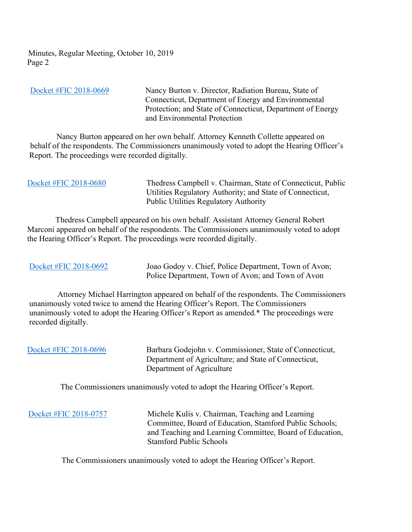Minutes, Regular Meeting, October 10, 2019 Page 2

 [Docket #FIC 2018-0669](https://portal.ct.gov/-/media/FOI/FinalDecisions/2019/Oct10/2018-0669.pdf?la=en) Nancy Burton v. Director, Radiation Bureau, State of Connecticut, Department of Energy and Environmental Protection; and State of Connecticut, Department of Energy and Environmental Protection

 Nancy Burton appeared on her own behalf. Attorney Kenneth Collette appeared on behalf of the respondents. The Commissioners unanimously voted to adopt the Hearing Officer's Report. The proceedings were recorded digitally.

| Docket #FIC 2018-0680 | Thedress Campbell v. Chairman, State of Connecticut, Public<br>Utilities Regulatory Authority; and State of Connecticut,<br><b>Public Utilities Regulatory Authority</b> |
|-----------------------|--------------------------------------------------------------------------------------------------------------------------------------------------------------------------|
|                       |                                                                                                                                                                          |

 Thedress Campbell appeared on his own behalf. Assistant Attorney General Robert Marconi appeared on behalf of the respondents. The Commissioners unanimously voted to adopt the Hearing Officer's Report. The proceedings were recorded digitally.

[Docket #FIC 2018-0692](https://portal.ct.gov/-/media/FOI/FinalDecisions/2019/Oct10/2018-0692.pdf?la=en) Joao Godoy v. Chief, Police Department, Town of Avon; Police Department, Town of Avon; and Town of Avon

 Attorney Michael Harrington appeared on behalf of the respondents. The Commissioners unanimously voted twice to amend the Hearing Officer's Report. The Commissioners unanimously voted to adopt the Hearing Officer's Report as amended.\* The proceedings were recorded digitally.

| Docket #FIC 2018-0696                                                      | Barbara Godejohn v. Commissioner, State of Connecticut,<br>Department of Agriculture; and State of Connecticut,<br>Department of Agriculture |
|----------------------------------------------------------------------------|----------------------------------------------------------------------------------------------------------------------------------------------|
| The Commissioners unanimously voted to adopt the Hearing Officer's Report. |                                                                                                                                              |

 [Docket #FIC 2018-0757](https://portal.ct.gov/-/media/FOI/FinalDecisions/2019/Oct10/2018-0757.pdf?la=en) Michele Kulis v. Chairman, Teaching and Learning Committee, Board of Education, Stamford Public Schools; and Teaching and Learning Committee, Board of Education, Stamford Public Schools

The Commissioners unanimously voted to adopt the Hearing Officer's Report.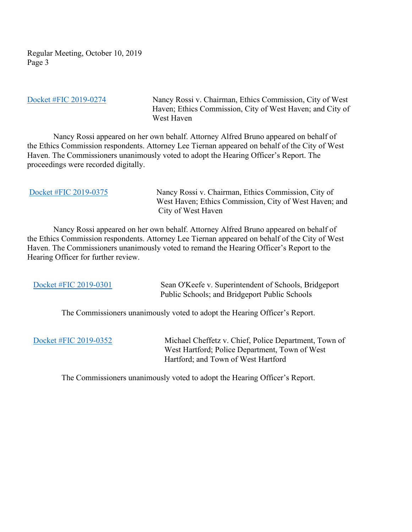Regular Meeting, October 10, 2019 Page 3

[Docket #FIC 2019-0274](https://portal.ct.gov/-/media/FOI/FinalDecisions/2019/Oct10/2019-0274.pdf?la=en) Nancy Rossi v. Chairman, Ethics Commission, City of West Haven; Ethics Commission, City of West Haven; and City of West Haven

 Nancy Rossi appeared on her own behalf. Attorney Alfred Bruno appeared on behalf of the Ethics Commission respondents. Attorney Lee Tiernan appeared on behalf of the City of West Haven. The Commissioners unanimously voted to adopt the Hearing Officer's Report. The proceedings were recorded digitally.

| Docket #FIC 2019-0375 | Nancy Rossi v. Chairman, Ethics Commission, City of<br>West Haven; Ethics Commission, City of West Haven; and<br>City of West Haven |
|-----------------------|-------------------------------------------------------------------------------------------------------------------------------------|
|                       |                                                                                                                                     |

 Nancy Rossi appeared on her own behalf. Attorney Alfred Bruno appeared on behalf of the Ethics Commission respondents. Attorney Lee Tiernan appeared on behalf of the City of West Haven. The Commissioners unanimously voted to remand the Hearing Officer's Report to the Hearing Officer for further review.

[Docket #FIC 2019-0301](https://portal.ct.gov/-/media/FOI/FinalDecisions/2019/Oct10/2019-0301.pdf?la=en) Sean O'Keefe v. Superintendent of Schools, Bridgeport Public Schools; and Bridgeport Public Schools

The Commissioners unanimously voted to adopt the Hearing Officer's Report.

 [Docket #FIC 2019-0352](https://portal.ct.gov/-/media/FOI/FinalDecisions/2019/Oct10/2019-0352.pdf?la=en) Michael Cheffetz v. Chief, Police Department, Town of West Hartford; Police Department, Town of West Hartford; and Town of West Hartford

The Commissioners unanimously voted to adopt the Hearing Officer's Report.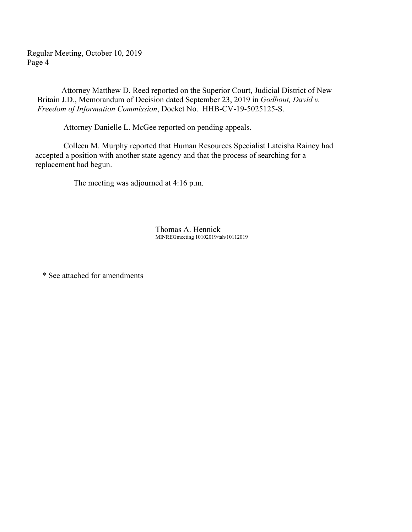Regular Meeting, October 10, 2019 Page 4

 Attorney Matthew D. Reed reported on the Superior Court, Judicial District of New Britain J.D., Memorandum of Decision dated September 23, 2019 in *Godbout, David v. Freedom of Information Commission*, Docket No. HHB-CV-19-5025125-S.

Attorney Danielle L. McGee reported on pending appeals.

 Colleen M. Murphy reported that Human Resources Specialist Lateisha Rainey had accepted a position with another state agency and that the process of searching for a replacement had begun.

The meeting was adjourned at 4:16 p.m.

 $\mathcal{L}_\text{max}$  and  $\mathcal{L}_\text{max}$  are the set of the set of the set of the set of the set of the set of the set of the set of the set of the set of the set of the set of the set of the set of the set of the set of the set o

Thomas A. Hennick MINREGmeeting 10102019/tah/10112019

\* See attached for amendments